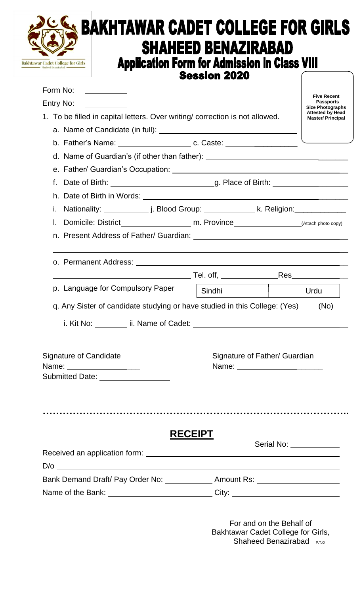|                                                                                         | <b>Session 2020</b>                                              |                         |                                                                        |
|-----------------------------------------------------------------------------------------|------------------------------------------------------------------|-------------------------|------------------------------------------------------------------------|
| Form No:<br><u> 1989 - Jan Sterlingen (</u>                                             |                                                                  |                         | <b>Five Recent</b>                                                     |
| Entry No:                                                                               |                                                                  |                         | <b>Passports</b><br><b>Size Photographs</b><br><b>Attested by Head</b> |
| 1. To be filled in capital letters. Over writing/ correction is not allowed.            |                                                                  |                         | <b>Master/Principal</b>                                                |
|                                                                                         |                                                                  |                         |                                                                        |
|                                                                                         |                                                                  |                         |                                                                        |
| d. Name of Guardian's (if other than father): __________________________________        |                                                                  |                         |                                                                        |
|                                                                                         |                                                                  |                         |                                                                        |
|                                                                                         |                                                                  |                         |                                                                        |
|                                                                                         |                                                                  |                         |                                                                        |
|                                                                                         |                                                                  |                         |                                                                        |
| $\mathbf{L}$                                                                            |                                                                  |                         |                                                                        |
|                                                                                         |                                                                  |                         |                                                                        |
|                                                                                         |                                                                  |                         |                                                                        |
| o. Permanent Address: University of Permanent Address: University of Permanent Address: |                                                                  |                         |                                                                        |
|                                                                                         | Tel. off, _______________                                        | Res                     |                                                                        |
| p. Language for Compulsory Paper                                                        | Sindhi                                                           |                         | Urdu                                                                   |
| q. Any Sister of candidate studying or have studied in this College: (Yes)              |                                                                  |                         | (No)                                                                   |
|                                                                                         |                                                                  |                         |                                                                        |
|                                                                                         |                                                                  |                         |                                                                        |
| <b>Signature of Candidate</b>                                                           |                                                                  |                         |                                                                        |
| Name: __________________                                                                | Signature of Father/ Guardian<br>Name: _________________________ |                         |                                                                        |
| Submitted Date: __________________                                                      |                                                                  |                         |                                                                        |
|                                                                                         |                                                                  |                         |                                                                        |
|                                                                                         |                                                                  |                         |                                                                        |
|                                                                                         |                                                                  |                         |                                                                        |
|                                                                                         | <b>RECEIPT</b>                                                   |                         |                                                                        |
|                                                                                         |                                                                  | Serial No: ____________ |                                                                        |
|                                                                                         |                                                                  |                         |                                                                        |
|                                                                                         |                                                                  |                         |                                                                        |
| Bank Demand Draft/ Pay Order No: _______________ Amount Rs: ____________________        |                                                                  |                         |                                                                        |

Bakhtawar Cadet College for Girls, Shaheed Benazirabad P.T.o